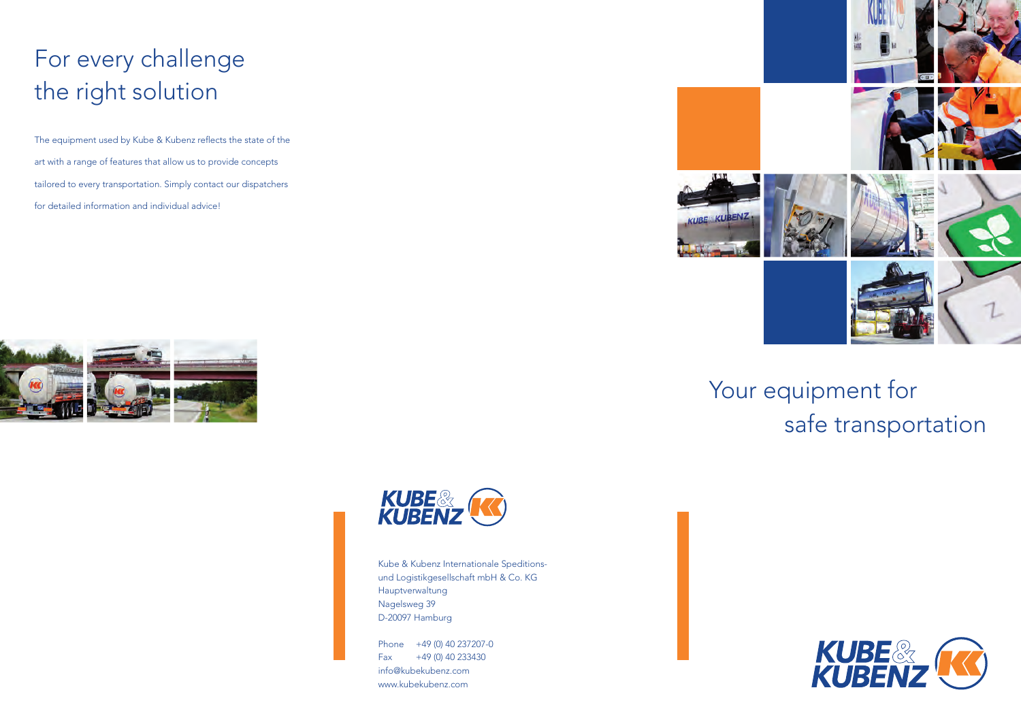## For every challenge the right solution

The equipment used by Kube & Kubenz reflects the state of the art with a range of features that allow us to provide concepts tailored to every transportation. Simply contact our dispatchers for detailed information and individual advice!





Kube & Kubenz Internationale Speditionsund Logistikgesellschaft mbH & Co. KG Hauptverwaltung Nagelsweg 39 D-20097 Hamburg

Phone +49 (0) 40 237207-0  $Fax +49(0)40233430$ info@kubekubenz.com www.kubekubenz.com



Your equipment for safe transportation